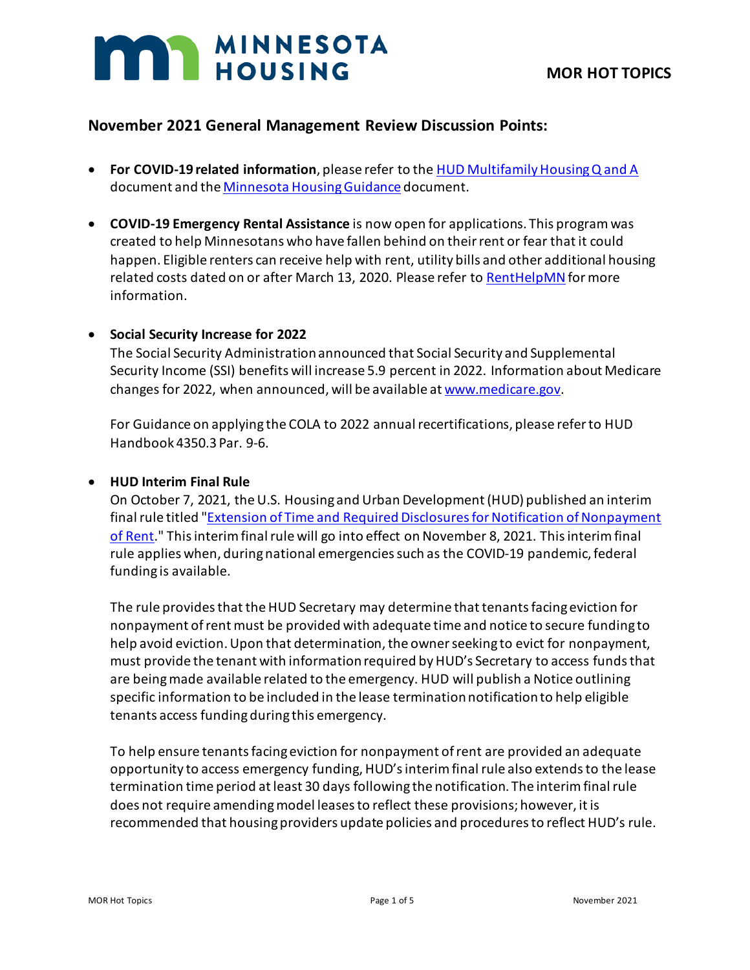# **MAN MINNESOTA**

# **November 2021 General Management Review Discussion Points:**

- **For COVID-19 related information**, please refer to the [HUD Multifamily Housing Q and A](https://www.hud.gov/sites/dfiles/Housing/documents/HUD_Multifamily_Corona_QA_FINAL.pdf) document and th[e Minnesota Housing Guidance](https://www.mnhousing.gov/get/MHFA_238349) document.
- **COVID-19 Emergency Rental Assistance** is now open for applications. This program was created to help Minnesotans who have fallen behind on their rent or fear that it could happen. Eligible renters can receive help with rent, utility bills and other additional housing related costs dated on or after March 13, 2020. Please refer to [RentHelpMN](https://www.renthelpmn.org/) for more information.

#### • **Social Security Increase for 2022**

The Social Security Administration announced that Social Security and Supplemental Security Income (SSI) benefits will increase 5.9 percent in 2022. Information about Medicare changes for 2022, when announced, will be available at [www.medicare.gov.](http://www.medicare.gov/)

For Guidance on applying the COLA to 2022 annual recertifications, please refer to HUD Handbook 4350.3 Par. 9-6.

#### • **HUD Interim Final Rule**

On October 7, 2021, the U.S. Housing and Urban Development (HUD) published an interim final rule titled "Extension of Time and Required Disclosures for Notification of Nonpayment [of Rent.](https://www.federalregister.gov/documents/2021/10/07/2021-21960/extension-of-time-and-required-disclosures-for-notification-of-nonpayment-of-rent?variation=A&_kx=YCUVFnlSx9sn0RMJCBWCM6fLeU8a8hdicvJmiLe6yL7AF_3zGXpWfKWYwy341ama.QNzjg8)" This interim final rule will go into effect on November 8, 2021. This interim final rule applies when, during national emergencies such as the COVID-19 pandemic, federal funding is available.

The rule provides that the HUD Secretary may determine that tenants facing eviction for nonpayment of rent must be provided with adequate time and notice to secure funding to help avoid eviction.Upon that determination, the owner seeking to evict for nonpayment, must provide the tenant with information required by HUD's Secretary to access funds that are being made available related to the emergency. HUD will publish a Notice outlining specific information to be included in the lease termination notification to help eligible tenants access funding during this emergency.

To help ensure tenants facing eviction for nonpayment of rent are provided an adequate opportunity to access emergency funding, HUD's interim final rule also extends to the lease termination time period at least 30 days following the notification. The interim final rule does not require amending model leases to reflect these provisions; however, it is recommended that housing providers update policies and procedures to reflect HUD's rule.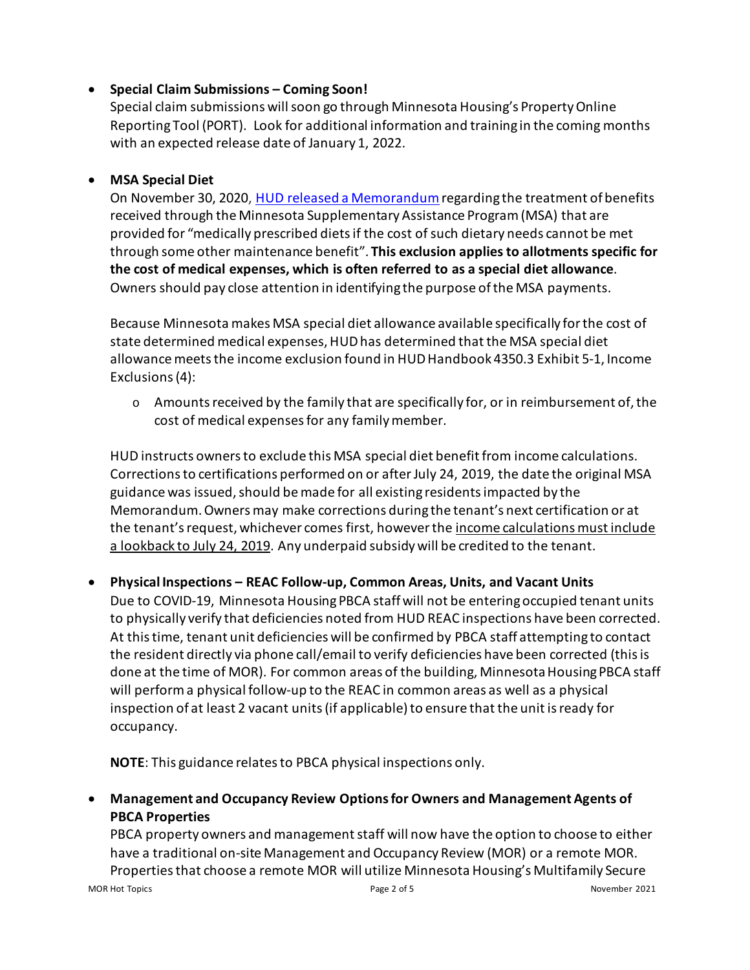## • **Special Claim Submissions – Coming Soon!**

Special claim submissions will soon go through Minnesota Housing's Property Online Reporting Tool (PORT). Look for additional information and training in the coming months with an expected release date of January 1, 2022.

# • **MSA Special Diet**

On November 30, 2020, [HUD released a Memorandum](https://www.mnhousing.gov/get/MHFA_247748)regarding the treatment of benefits received through the Minnesota Supplementary Assistance Program (MSA) that are provided for "medically prescribed diets if the cost of such dietary needs cannot be met through some other maintenance benefit". **This exclusion applies to allotments specific for the cost of medical expenses, which is often referred to as a special diet allowance**. Owners should pay close attention in identifying the purpose of the MSA payments.

Because Minnesota makes MSA special diet allowance available specifically for the cost of state determined medical expenses, HUD has determined that the MSA special diet allowance meets the income exclusion found in HUD Handbook 4350.3 Exhibit 5-1, Income Exclusions (4):

 $\circ$  Amounts received by the family that are specifically for, or in reimbursement of, the cost of medical expenses for any family member.

HUD instructs owners to exclude this MSA special diet benefit from income calculations. Corrections to certifications performed on or after July 24, 2019, the date the original MSA guidance was issued, should be made for all existing residents impacted by the Memorandum.Owners may make corrections during the tenant's next certification or at the tenant's request, whichever comes first, however the income calculations must include a lookback to July 24, 2019. Any underpaid subsidy will be credited to the tenant.

• **Physical Inspections – REAC Follow-up, Common Areas, Units, and Vacant Units** Due to COVID-19, Minnesota Housing PBCA staff will not be entering occupied tenant units to physically verify that deficiencies noted from HUD REAC inspections have been corrected. At this time, tenant unit deficiencies will be confirmed by PBCA staff attempting to contact the resident directly via phone call/email to verify deficiencies have been corrected (this is done at the time of MOR). For common areas of the building, Minnesota Housing PBCA staff will performa physical follow-up to the REAC in common areas as well as a physical inspection of at least 2 vacant units(if applicable) to ensure that the unit is ready for occupancy.

**NOTE**: This guidance relates to PBCA physical inspections only.

• **Management and Occupancy Review Options for Owners and Management Agents of PBCA Properties** 

PBCA property owners and management staff will now have the option to choose to either have a traditional on-site Management and Occupancy Review (MOR) or a remote MOR. Propertiesthat choose a remote MOR will utilize Minnesota Housing's Multifamily Secure

MOR Hot Topics Page 2 of 5 November 2021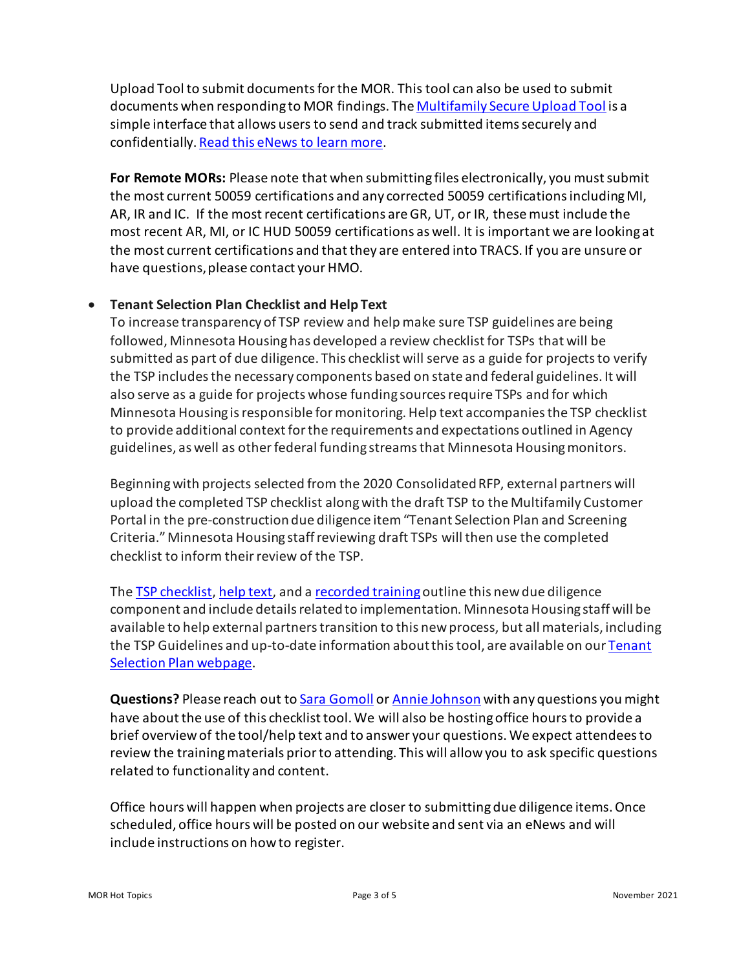Upload Tool to submit documents for the MOR. This tool can also be used to submit documents when responding to MOR findings. Th[e Multifamily Secure Upload Tool](https://mnhousing.leapfile.net/) is a simple interface that allows users to send and track submitted items securely and confidentially[. Read this eNews to learn more.](https://t.e2ma.net/message/rdt19b/75td7g)

**For Remote MORs:** Please note that when submitting files electronically, you must submit the most current 50059 certifications and any corrected 50059 certifications including MI, AR, IR and IC. If the most recent certifications are GR, UT, or IR, these must include the most recent AR, MI, or IC HUD 50059 certifications as well. It is important we are looking at the most current certifications and that they are entered into TRACS. If you are unsure or have questions, please contact your HMO.

## • **Tenant Selection Plan Checklist and Help Text**

To increase transparency of TSP review and help make sure TSP guidelines are being followed, Minnesota Housing has developed a review checklist for TSPs that will be submitted as part of due diligence. This checklist will serve as a guide for projectsto verify the TSP includes the necessary components based on state and federal guidelines. It will also serve as a guide for projects whose funding sources require TSPs and for which Minnesota Housing is responsible for monitoring. Help text accompanies the TSP checklist to provide additional context for the requirements and expectations outlined in Agency guidelines, as well as other federal funding streams that Minnesota Housing monitors.

Beginning with projects selected from the 2020 Consolidated RFP, external partners will upload the completed TSP checklist along with the draft TSP to the Multifamily Customer Portal in the pre-construction due diligence item "Tenant Selection Plan and Screening Criteria." Minnesota Housing staff reviewing draft TSPs will then use the completed checklist to inform their review of the TSP.

The **TSP** checklist, [help text,](https://www.mnhousing.gov/get/MHFA_249355) and a [recorded training](https://www.youtube.com/watch?v=MIV-FLE8zJE&feature=youtu.be) outline this new due diligence component and include details related to implementation. Minnesota Housing staff will be available to help external partners transition to this new process, but all materials, including the TSP Guidelines and up-to-date information about this tool, are available on our Tenant [Selection Plan webpage.](https://www.mnhousing.gov/sites/multifamily/tenantselectionplan)

**Questions?** Please reach out to [Sara Gomoll](mailto:sara.gomoll@state.mn.us) or [Annie Johnson](mailto:annie.johnson@state.mn.us) with any questions you might have about the use of this checklist tool. We will also be hosting office hours to provide a brief overview of the tool/help text and to answer your questions. We expect attendees to review the training materials prior to attending. This will allow you to ask specific questions related to functionality and content.

Office hours will happen when projects are closer to submitting due diligence items. Once scheduled, office hours will be posted on our website and sent via an eNews and will include instructions on how to register.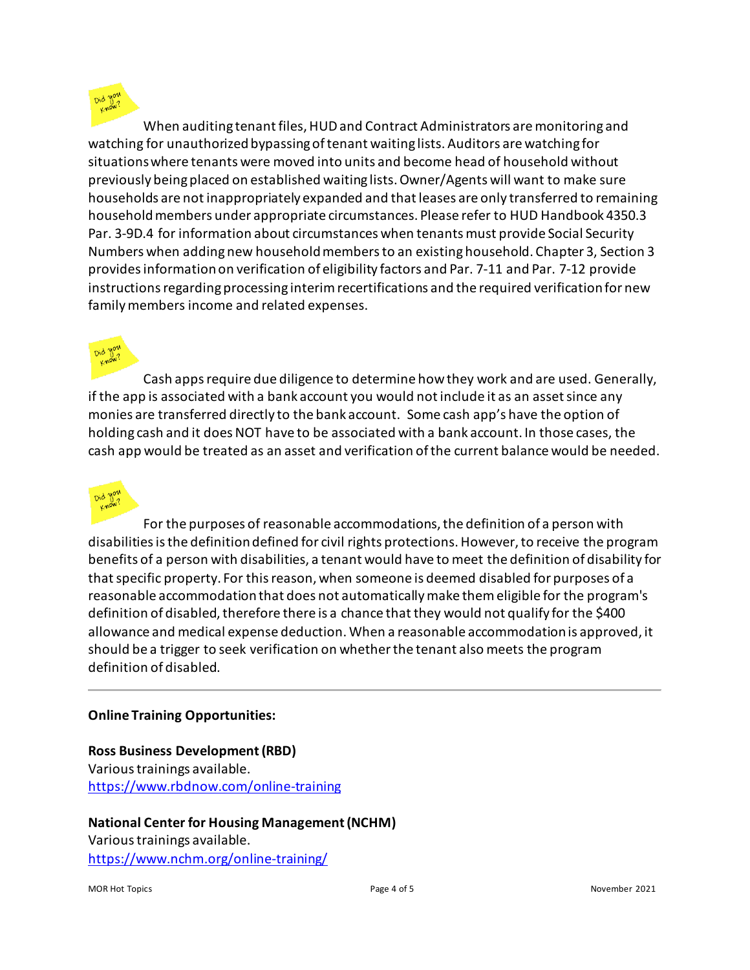When auditing tenant files, HUD and Contract Administrators are monitoring and watching for unauthorized bypassing of tenant waiting lists. Auditors are watching for situations where tenants were moved into units and become head of household without previously being placed on established waiting lists. Owner/Agents will want to make sure households are not inappropriately expanded and that leases are only transferred to remaining household members under appropriate circumstances. Please refer to HUD Handbook 4350.3 Par. 3-9D.4 for information about circumstances when tenants must provide Social Security Numbers when adding new household members to an existing household. Chapter 3, Section 3 provides information on verification of eligibility factors and Par. 7-11 and Par. 7-12 provide instructions regarding processing interim recertifications and the required verification for new family members income and related expenses.

Cash apps require due diligence to determine how they work and are used. Generally, if the app is associated with a bank account you would not include it as an asset since any monies are transferred directly to the bank account. Some cash app's have the option of holding cash and it does NOT have to be associated with a bank account. In those cases, the cash app would be treated as an asset and verification of the current balance would be needed.



For the purposes of reasonable accommodations, the definition of a person with disabilities is the definition defined for civil rights protections. However, to receive the program benefits of a person with disabilities, a tenant would have to meet the definition of disability for that specific property. For this reason, when someone is deemed disabled for purposes of a reasonable accommodation that does not automatically make them eligible for the program's definition of disabled, therefore there is a chance that they would not qualify for the \$400 allowance and medical expense deduction. When a reasonable accommodation is approved, it should be a trigger to seek verification on whether the tenant also meets the program definition of disabled.

## **Online Training Opportunities:**

## **Ross Business Development (RBD)** Various trainings available. [https://www.rbdnow.com/online-training](https://gcc01.safelinks.protection.outlook.com/?url=https%3A%2F%2Fwww.rbdnow.com%2Fonline-training&data=04%7C01%7Ccassie.gordon%40state.mn.us%7Ca1d23e88e4044885d8cf08d897b0a91a%7Ceb14b04624c445198f26b89c2159828c%7C0%7C0%7C637426132293808894%7CUnknown%7CTWFpbGZsb3d8eyJWIjoiMC4wLjAwMDAiLCJQIjoiV2luMzIiLCJBTiI6Ik1haWwiLCJXVCI6Mn0%3D%7C1000&sdata=S2Y3R2IyQXImxCFIMTrKi%2B0YlofrGGhe4WS9Q3SHo%2Bo%3D&reserved=0)

#### **National Center for Housing Management (NCHM)**

Various trainings available. [https://www.nchm.org/online-training/](https://gcc01.safelinks.protection.outlook.com/?url=https%3A%2F%2Fwww.nchm.org%2Fonline-training%2F&data=04%7C01%7Ccassie.gordon%40state.mn.us%7Ca1d23e88e4044885d8cf08d897b0a91a%7Ceb14b04624c445198f26b89c2159828c%7C0%7C0%7C637426132293808894%7CUnknown%7CTWFpbGZsb3d8eyJWIjoiMC4wLjAwMDAiLCJQIjoiV2luMzIiLCJBTiI6Ik1haWwiLCJXVCI6Mn0%3D%7C1000&sdata=r6XmeeKdnqZAuJy1qP4FPG2jm2kB44NuDnj4WMGXjNI%3D&reserved=0)